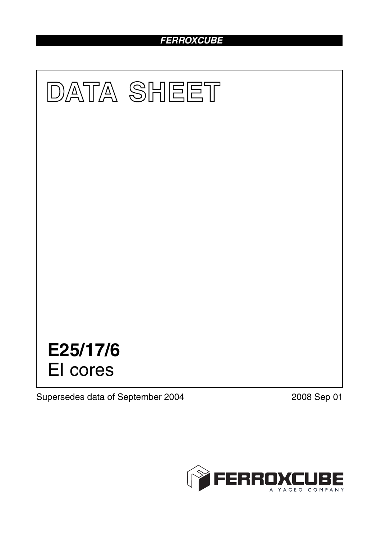# *FERROXCUBE*



Supersedes data of September 2004 2008 Sep 01

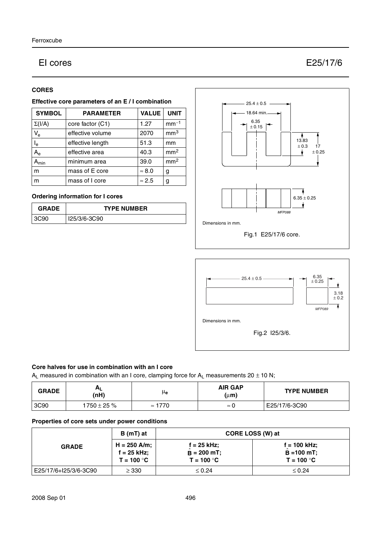## EI cores E25/17/6

#### **CORES**

#### **Effective core parameters of an E / I combination**

| <b>SYMBOL</b>           | <b>PARAMETER</b> | <b>VALUE</b>  | <b>UNIT</b>     |
|-------------------------|------------------|---------------|-----------------|
| $\Sigma(I/A)$           | core factor (C1) | 1.27          | $mm-1$          |
| $V_{e}$                 | effective volume | 2070          | mm <sup>3</sup> |
| $\mathsf{I}_\mathsf{e}$ | effective length | 51.3          | mm              |
| $A_{\rm e}$             | effective area   | 40.3          | mm <sup>2</sup> |
| $A_{min}$               | minimum area     | 39.0          | mm <sup>2</sup> |
| m                       | mass of E core   | $\approx 8.0$ | g               |
| m                       | mass of I core   | $\approx 2.5$ | g               |

### **Ordering information for I cores**

| <b>GRADE</b> | <b>TYPE NUMBER</b> |  |
|--------------|--------------------|--|
| 290<br>-26.  | I25/3/6-3C90       |  |





#### **Core halves for use in combination with an I core**

 $A_L$  measured in combination with an I core, clamping force for  $A_L$  measurements 20  $\pm$  10 N;

| <b>GRADE</b> | H <sub>1</sub><br>. .<br>(nH) | μe                | <b>AIR GAP</b><br>$(\mu m)$ | <b>TYPE NUMBER</b> |
|--------------|-------------------------------|-------------------|-----------------------------|--------------------|
| 3C90         | $1750 \pm 25 \%$              | 1770<br>$\approx$ | $\approx$                   | E25/17/6-3C90      |

### **Properties of core sets under power conditions**

| <b>GRADE</b>          | B (mT) at                                       | CORE LOSS (W) at                                     |                                                       |  |
|-----------------------|-------------------------------------------------|------------------------------------------------------|-------------------------------------------------------|--|
|                       | $H = 250$ A/m;<br>$f = 25$ kHz;<br>$T = 100 °C$ | $f = 25$ kHz;<br>$\hat{B}$ = 200 mT;<br>$T = 100 °C$ | $f = 100$ kHz;<br>$\hat{B} = 100$ mT;<br>$T = 100 °C$ |  |
| E25/17/6+I25/3/6-3C90 | $\geq$ 330                                      | $\leq 0.24$                                          | $\leq 0.24$                                           |  |